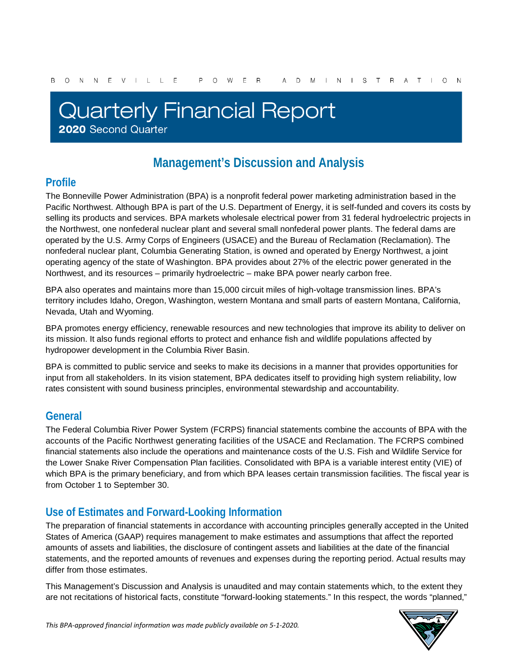# **Quarterly Financial Report** 2020 Second Quarter

## **Management's Discussion and Analysis**

## **Profile**

The Bonneville Power Administration (BPA) is a nonprofit federal power marketing administration based in the Pacific Northwest. Although BPA is part of the U.S. Department of Energy, it is self-funded and covers its costs by selling its products and services. BPA markets wholesale electrical power from 31 federal hydroelectric projects in the Northwest, one nonfederal nuclear plant and several small nonfederal power plants. The federal dams are operated by the U.S. Army Corps of Engineers (USACE) and the Bureau of Reclamation (Reclamation). The nonfederal nuclear plant, Columbia Generating Station, is owned and operated by Energy Northwest, a joint operating agency of the state of Washington. BPA provides about 27% of the electric power generated in the Northwest, and its resources – primarily hydroelectric – make BPA power nearly carbon free.

BPA also operates and maintains more than 15,000 circuit miles of high-voltage transmission lines. BPA's territory includes Idaho, Oregon, Washington, western Montana and small parts of eastern Montana, California, Nevada, Utah and Wyoming.

BPA promotes energy efficiency, renewable resources and new technologies that improve its ability to deliver on its mission. It also funds regional efforts to protect and enhance fish and wildlife populations affected by hydropower development in the Columbia River Basin.

BPA is committed to public service and seeks to make its decisions in a manner that provides opportunities for input from all stakeholders. In its vision statement, BPA dedicates itself to providing high system reliability, low rates consistent with sound business principles, environmental stewardship and accountability.

## **General**

The Federal Columbia River Power System (FCRPS) financial statements combine the accounts of BPA with the accounts of the Pacific Northwest generating facilities of the USACE and Reclamation. The FCRPS combined financial statements also include the operations and maintenance costs of the U.S. Fish and Wildlife Service for the Lower Snake River Compensation Plan facilities. Consolidated with BPA is a variable interest entity (VIE) of which BPA is the primary beneficiary, and from which BPA leases certain transmission facilities. The fiscal year is from October 1 to September 30.

## **Use of Estimates and Forward-Looking Information**

The preparation of financial statements in accordance with accounting principles generally accepted in the United States of America (GAAP) requires management to make estimates and assumptions that affect the reported amounts of assets and liabilities, the disclosure of contingent assets and liabilities at the date of the financial statements, and the reported amounts of revenues and expenses during the reporting period. Actual results may differ from those estimates.

This Management's Discussion and Analysis is unaudited and may contain statements which, to the extent they are not recitations of historical facts, constitute "forward-looking statements." In this respect, the words "planned,"

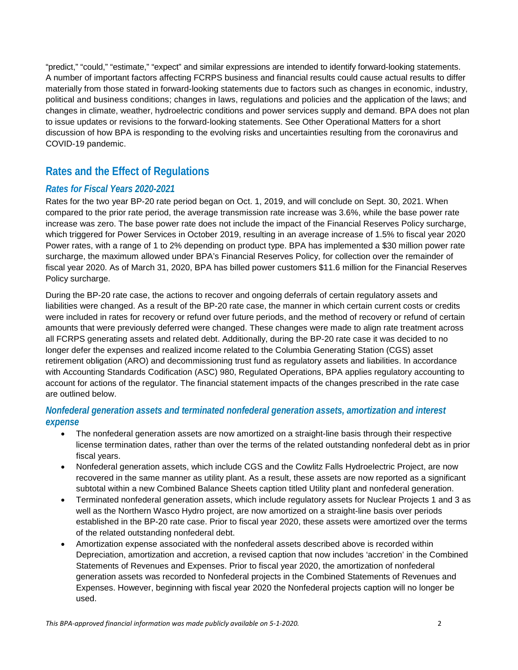"predict," "could," "estimate," "expect" and similar expressions are intended to identify forward-looking statements. A number of important factors affecting FCRPS business and financial results could cause actual results to differ materially from those stated in forward-looking statements due to factors such as changes in economic, industry, political and business conditions; changes in laws, regulations and policies and the application of the laws; and changes in climate, weather, hydroelectric conditions and power services supply and demand. BPA does not plan to issue updates or revisions to the forward-looking statements. See Other Operational Matters for a short discussion of how BPA is responding to the evolving risks and uncertainties resulting from the coronavirus and COVID-19 pandemic.

## **Rates and the Effect of Regulations**

#### *Rates for Fiscal Years 2020-2021*

Rates for the two year BP-20 rate period began on Oct. 1, 2019, and will conclude on Sept. 30, 2021. When compared to the prior rate period, the average transmission rate increase was 3.6%, while the base power rate increase was zero. The base power rate does not include the impact of the Financial Reserves Policy surcharge, which triggered for Power Services in October 2019, resulting in an average increase of 1.5% to fiscal year 2020 Power rates, with a range of 1 to 2% depending on product type. BPA has implemented a \$30 million power rate surcharge, the maximum allowed under BPA's Financial Reserves Policy, for collection over the remainder of fiscal year 2020. As of March 31, 2020, BPA has billed power customers \$11.6 million for the Financial Reserves Policy surcharge.

During the BP-20 rate case, the actions to recover and ongoing deferrals of certain regulatory assets and liabilities were changed. As a result of the BP-20 rate case, the manner in which certain current costs or credits were included in rates for recovery or refund over future periods, and the method of recovery or refund of certain amounts that were previously deferred were changed. These changes were made to align rate treatment across all FCRPS generating assets and related debt. Additionally, during the BP-20 rate case it was decided to no longer defer the expenses and realized income related to the Columbia Generating Station (CGS) asset retirement obligation (ARO) and decommissioning trust fund as regulatory assets and liabilities. In accordance with Accounting Standards Codification (ASC) 980, Regulated Operations, BPA applies regulatory accounting to account for actions of the regulator. The financial statement impacts of the changes prescribed in the rate case are outlined below.

#### *Nonfederal generation assets and terminated nonfederal generation assets, amortization and interest expense*

- The nonfederal generation assets are now amortized on a straight-line basis through their respective license termination dates, rather than over the terms of the related outstanding nonfederal debt as in prior fiscal years.
- Nonfederal generation assets, which include CGS and the Cowlitz Falls Hydroelectric Project, are now recovered in the same manner as utility plant. As a result, these assets are now reported as a significant subtotal within a new Combined Balance Sheets caption titled Utility plant and nonfederal generation.
- Terminated nonfederal generation assets, which include regulatory assets for Nuclear Projects 1 and 3 as well as the Northern Wasco Hydro project, are now amortized on a straight-line basis over periods established in the BP-20 rate case. Prior to fiscal year 2020, these assets were amortized over the terms of the related outstanding nonfederal debt.
- Amortization expense associated with the nonfederal assets described above is recorded within Depreciation, amortization and accretion, a revised caption that now includes 'accretion' in the Combined Statements of Revenues and Expenses. Prior to fiscal year 2020, the amortization of nonfederal generation assets was recorded to Nonfederal projects in the Combined Statements of Revenues and Expenses. However, beginning with fiscal year 2020 the Nonfederal projects caption will no longer be used.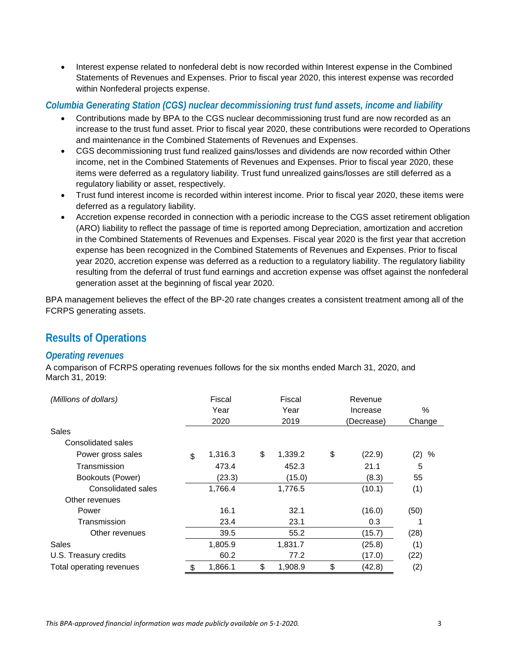• Interest expense related to nonfederal debt is now recorded within Interest expense in the Combined Statements of Revenues and Expenses. Prior to fiscal year 2020, this interest expense was recorded within Nonfederal projects expense.

#### *Columbia Generating Station (CGS) nuclear decommissioning trust fund assets, income and liability*

- Contributions made by BPA to the CGS nuclear decommissioning trust fund are now recorded as an increase to the trust fund asset. Prior to fiscal year 2020, these contributions were recorded to Operations and maintenance in the Combined Statements of Revenues and Expenses.
- CGS decommissioning trust fund realized gains/losses and dividends are now recorded within Other income, net in the Combined Statements of Revenues and Expenses. Prior to fiscal year 2020, these items were deferred as a regulatory liability. Trust fund unrealized gains/losses are still deferred as a regulatory liability or asset, respectively.
- Trust fund interest income is recorded within interest income. Prior to fiscal year 2020, these items were deferred as a regulatory liability.
- Accretion expense recorded in connection with a periodic increase to the CGS asset retirement obligation (ARO) liability to reflect the passage of time is reported among Depreciation, amortization and accretion in the Combined Statements of Revenues and Expenses. Fiscal year 2020 is the first year that accretion expense has been recognized in the Combined Statements of Revenues and Expenses. Prior to fiscal year 2020, accretion expense was deferred as a reduction to a regulatory liability. The regulatory liability resulting from the deferral of trust fund earnings and accretion expense was offset against the nonfederal generation asset at the beginning of fiscal year 2020.

BPA management believes the effect of the BP-20 rate changes creates a consistent treatment among all of the FCRPS generating assets.

## **Results of Operations**

#### *Operating revenues*

A comparison of FCRPS operating revenues follows for the six months ended March 31, 2020, and March 31, 2019:

| (Millions of dollars)    | Fiscal        | Fiscal        | Revenue      |          |
|--------------------------|---------------|---------------|--------------|----------|
|                          | Year          | Year          | Increase     | %        |
|                          | 2020          | 2019          | (Decrease)   | Change   |
| Sales                    |               |               |              |          |
| Consolidated sales       |               |               |              |          |
| Power gross sales        | \$<br>1,316.3 | \$<br>1,339.2 | \$<br>(22.9) | (2)<br>% |
| Transmission             | 473.4         | 452.3         | 21.1         | 5        |
| Bookouts (Power)         | (23.3)        | (15.0)        | (8.3)        | 55       |
| Consolidated sales       | 1,766.4       | 1,776.5       | (10.1)       | (1)      |
| Other revenues           |               |               |              |          |
| Power                    | 16.1          | 32.1          | (16.0)       | (50)     |
| Transmission             | 23.4          | 23.1          | 0.3          |          |
| Other revenues           | 39.5          | 55.2          | (15.7)       | (28)     |
| Sales                    | 1,805.9       | 1,831.7       | (25.8)       | (1)      |
| U.S. Treasury credits    | 60.2          | 77.2          | (17.0)       | (22)     |
| Total operating revenues | \$<br>1,866.1 | \$<br>1,908.9 | \$<br>(42.8) | (2)      |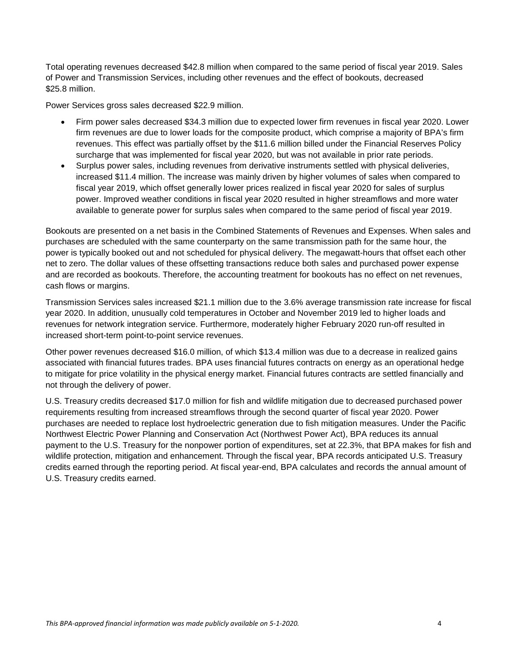Total operating revenues decreased \$42.8 million when compared to the same period of fiscal year 2019. Sales of Power and Transmission Services, including other revenues and the effect of bookouts, decreased \$25.8 million.

Power Services gross sales decreased \$22.9 million.

- Firm power sales decreased \$34.3 million due to expected lower firm revenues in fiscal year 2020. Lower firm revenues are due to lower loads for the composite product, which comprise a majority of BPA's firm revenues. This effect was partially offset by the \$11.6 million billed under the Financial Reserves Policy surcharge that was implemented for fiscal year 2020, but was not available in prior rate periods.
- Surplus power sales, including revenues from derivative instruments settled with physical deliveries, increased \$11.4 million. The increase was mainly driven by higher volumes of sales when compared to fiscal year 2019, which offset generally lower prices realized in fiscal year 2020 for sales of surplus power. Improved weather conditions in fiscal year 2020 resulted in higher streamflows and more water available to generate power for surplus sales when compared to the same period of fiscal year 2019.

Bookouts are presented on a net basis in the Combined Statements of Revenues and Expenses. When sales and purchases are scheduled with the same counterparty on the same transmission path for the same hour, the power is typically booked out and not scheduled for physical delivery. The megawatt-hours that offset each other net to zero. The dollar values of these offsetting transactions reduce both sales and purchased power expense and are recorded as bookouts. Therefore, the accounting treatment for bookouts has no effect on net revenues, cash flows or margins.

Transmission Services sales increased \$21.1 million due to the 3.6% average transmission rate increase for fiscal year 2020. In addition, unusually cold temperatures in October and November 2019 led to higher loads and revenues for network integration service. Furthermore, moderately higher February 2020 run-off resulted in increased short-term point-to-point service revenues.

Other power revenues decreased \$16.0 million, of which \$13.4 million was due to a decrease in realized gains associated with financial futures trades. BPA uses financial futures contracts on energy as an operational hedge to mitigate for price volatility in the physical energy market. Financial futures contracts are settled financially and not through the delivery of power.

U.S. Treasury credits decreased \$17.0 million for fish and wildlife mitigation due to decreased purchased power requirements resulting from increased streamflows through the second quarter of fiscal year 2020. Power purchases are needed to replace lost hydroelectric generation due to fish mitigation measures. Under the Pacific Northwest Electric Power Planning and Conservation Act (Northwest Power Act), BPA reduces its annual payment to the U.S. Treasury for the nonpower portion of expenditures, set at 22.3%, that BPA makes for fish and wildlife protection, mitigation and enhancement. Through the fiscal year, BPA records anticipated U.S. Treasury credits earned through the reporting period. At fiscal year-end, BPA calculates and records the annual amount of U.S. Treasury credits earned.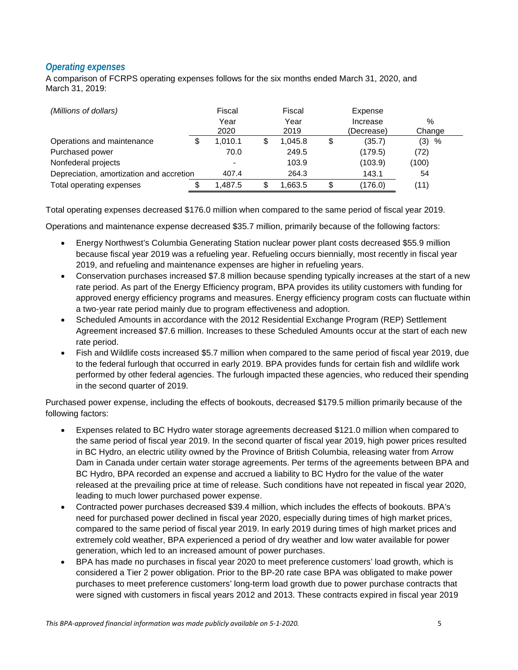#### *Operating expenses*

A comparison of FCRPS operating expenses follows for the six months ended March 31, 2020, and March 31, 2019:

| (Millions of dollars)                    | Fiscal<br>Year<br>2020 | Fiscal<br>Year<br>2019 | Expense<br>Increase<br>(Decrease) | $\%$<br>Change |
|------------------------------------------|------------------------|------------------------|-----------------------------------|----------------|
| Operations and maintenance               | 1.010.1                | 1.045.8                | \$<br>(35.7)                      | (3)<br>%       |
| Purchased power                          | 70.0                   | 249.5                  | (179.5)                           | (72)           |
| Nonfederal projects                      |                        | 103.9                  | (103.9)                           | (100)          |
| Depreciation, amortization and accretion | 407.4                  | 264.3                  | 143.1                             | 54             |
| Total operating expenses                 | .487.5                 | .663.5                 | \$<br>(176.0)                     | (11)           |

Total operating expenses decreased \$176.0 million when compared to the same period of fiscal year 2019.

Operations and maintenance expense decreased \$35.7 million, primarily because of the following factors:

- Energy Northwest's Columbia Generating Station nuclear power plant costs decreased \$55.9 million because fiscal year 2019 was a refueling year. Refueling occurs biennially, most recently in fiscal year 2019, and refueling and maintenance expenses are higher in refueling years.
- Conservation purchases increased \$7.8 million because spending typically increases at the start of a new rate period. As part of the Energy Efficiency program, BPA provides its utility customers with funding for approved energy efficiency programs and measures. Energy efficiency program costs can fluctuate within a two-year rate period mainly due to program effectiveness and adoption.
- Scheduled Amounts in accordance with the 2012 Residential Exchange Program (REP) Settlement Agreement increased \$7.6 million. Increases to these Scheduled Amounts occur at the start of each new rate period.
- Fish and Wildlife costs increased \$5.7 million when compared to the same period of fiscal year 2019, due to the federal furlough that occurred in early 2019. BPA provides funds for certain fish and wildlife work performed by other federal agencies. The furlough impacted these agencies, who reduced their spending in the second quarter of 2019.

Purchased power expense, including the effects of bookouts, decreased \$179.5 million primarily because of the following factors:

- Expenses related to BC Hydro water storage agreements decreased \$121.0 million when compared to the same period of fiscal year 2019. In the second quarter of fiscal year 2019, high power prices resulted in BC Hydro, an electric utility owned by the Province of British Columbia, releasing water from Arrow Dam in Canada under certain water storage agreements. Per terms of the agreements between BPA and BC Hydro, BPA recorded an expense and accrued a liability to BC Hydro for the value of the water released at the prevailing price at time of release. Such conditions have not repeated in fiscal year 2020, leading to much lower purchased power expense.
- Contracted power purchases decreased \$39.4 million, which includes the effects of bookouts. BPA's need for purchased power declined in fiscal year 2020, especially during times of high market prices, compared to the same period of fiscal year 2019. In early 2019 during times of high market prices and extremely cold weather, BPA experienced a period of dry weather and low water available for power generation, which led to an increased amount of power purchases.
- BPA has made no purchases in fiscal year 2020 to meet preference customers' load growth, which is considered a Tier 2 power obligation. Prior to the BP-20 rate case BPA was obligated to make power purchases to meet preference customers' long-term load growth due to power purchase contracts that were signed with customers in fiscal years 2012 and 2013. These contracts expired in fiscal year 2019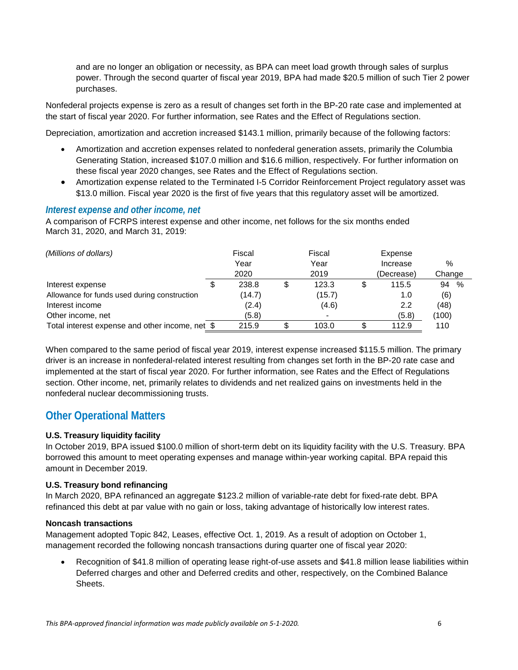and are no longer an obligation or necessity, as BPA can meet load growth through sales of surplus power. Through the second quarter of fiscal year 2019, BPA had made \$20.5 million of such Tier 2 power purchases.

Nonfederal projects expense is zero as a result of changes set forth in the BP-20 rate case and implemented at the start of fiscal year 2020. For further information, see Rates and the Effect of Regulations section.

Depreciation, amortization and accretion increased \$143.1 million, primarily because of the following factors:

- Amortization and accretion expenses related to nonfederal generation assets, primarily the Columbia Generating Station, increased \$107.0 million and \$16.6 million, respectively. For further information on these fiscal year 2020 changes, see Rates and the Effect of Regulations section.
- Amortization expense related to the Terminated I-5 Corridor Reinforcement Project regulatory asset was \$13.0 million. Fiscal year 2020 is the first of five years that this regulatory asset will be amortized.

#### *Interest expense and other income, net*

A comparison of FCRPS interest expense and other income, net follows for the six months ended March 31, 2020, and March 31, 2019:

| (Millions of dollars)                           |  | Fiscal |    | Fiscal |    | Expense          |            |
|-------------------------------------------------|--|--------|----|--------|----|------------------|------------|
|                                                 |  | Year   |    | Year   |    | Increase         | $\%$       |
|                                                 |  | 2020   |    | 2019   |    | (Decrease)       | Change     |
| Interest expense                                |  | 238.8  | \$ | 123.3  | \$ | 115.5            | 94<br>$\%$ |
| Allowance for funds used during construction    |  | (14.7) |    | (15.7) |    | 1.0              | (6)        |
| Interest income                                 |  | (2.4)  |    | (4.6)  |    | $2.2\phantom{0}$ | (48)       |
| Other income, net                               |  | (5.8)  |    |        |    | (5.8)            | (100)      |
| Total interest expense and other income, net \$ |  | 215.9  |    | 103.0  |    | 112.9            | 110        |

When compared to the same period of fiscal year 2019, interest expense increased \$115.5 million. The primary driver is an increase in nonfederal-related interest resulting from changes set forth in the BP-20 rate case and implemented at the start of fiscal year 2020. For further information, see Rates and the Effect of Regulations section. Other income, net, primarily relates to dividends and net realized gains on investments held in the nonfederal nuclear decommissioning trusts.

### **Other Operational Matters**

#### **U.S. Treasury liquidity facility**

In October 2019, BPA issued \$100.0 million of short-term debt on its liquidity facility with the U.S. Treasury. BPA borrowed this amount to meet operating expenses and manage within-year working capital. BPA repaid this amount in December 2019.

#### **U.S. Treasury bond refinancing**

In March 2020, BPA refinanced an aggregate \$123.2 million of variable-rate debt for fixed-rate debt. BPA refinanced this debt at par value with no gain or loss, taking advantage of historically low interest rates.

#### **Noncash transactions**

Management adopted Topic 842, Leases, effective Oct. 1, 2019. As a result of adoption on October 1, management recorded the following noncash transactions during quarter one of fiscal year 2020:

• Recognition of \$41.8 million of operating lease right-of-use assets and \$41.8 million lease liabilities within Deferred charges and other and Deferred credits and other, respectively, on the Combined Balance Sheets.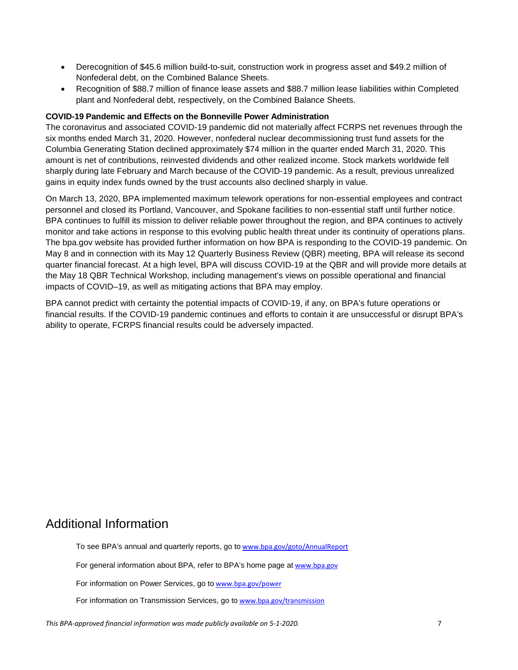- Derecognition of \$45.6 million build-to-suit, construction work in progress asset and \$49.2 million of Nonfederal debt, on the Combined Balance Sheets.
- Recognition of \$88.7 million of finance lease assets and \$88.7 million lease liabilities within Completed plant and Nonfederal debt, respectively, on the Combined Balance Sheets.

#### **COVID-19 Pandemic and Effects on the Bonneville Power Administration**

The coronavirus and associated COVID-19 pandemic did not materially affect FCRPS net revenues through the six months ended March 31, 2020. However, nonfederal nuclear decommissioning trust fund assets for the Columbia Generating Station declined approximately \$74 million in the quarter ended March 31, 2020. This amount is net of contributions, reinvested dividends and other realized income. Stock markets worldwide fell sharply during late February and March because of the COVID-19 pandemic. As a result, previous unrealized gains in equity index funds owned by the trust accounts also declined sharply in value.

On March 13, 2020, BPA implemented maximum telework operations for non-essential employees and contract personnel and closed its Portland, Vancouver, and Spokane facilities to non-essential staff until further notice. BPA continues to fulfill its mission to deliver reliable power throughout the region, and BPA continues to actively monitor and take actions in response to this evolving public health threat under its continuity of operations plans. The bpa.gov website has provided further information on how BPA is responding to the COVID-19 pandemic. On May 8 and in connection with its May 12 Quarterly Business Review (QBR) meeting, BPA will release its second quarter financial forecast. At a high level, BPA will discuss COVID-19 at the QBR and will provide more details at the May 18 QBR Technical Workshop, including management's views on possible operational and financial impacts of COVID–19, as well as mitigating actions that BPA may employ.

BPA cannot predict with certainty the potential impacts of COVID-19, if any, on BPA's future operations or financial results. If the COVID-19 pandemic continues and efforts to contain it are unsuccessful or disrupt BPA's ability to operate, FCRPS financial results could be adversely impacted.

### Additional Information

To see BPA's annual and quarterly reports, go to [www.bpa.gov/goto/AnnualReport](http://www.bpa.gov/goto/AnnualReport)

For general information about BPA, refer to BPA's home page at [www.bpa.gov](http://www.bpa.gov/)

For information on Power Services, go to [www.bpa.gov/power](http://www.bpa.gov/power)

For information on Transmission Services, go to [www.bpa.gov/transmission](http://www.bpa.gov/transmission)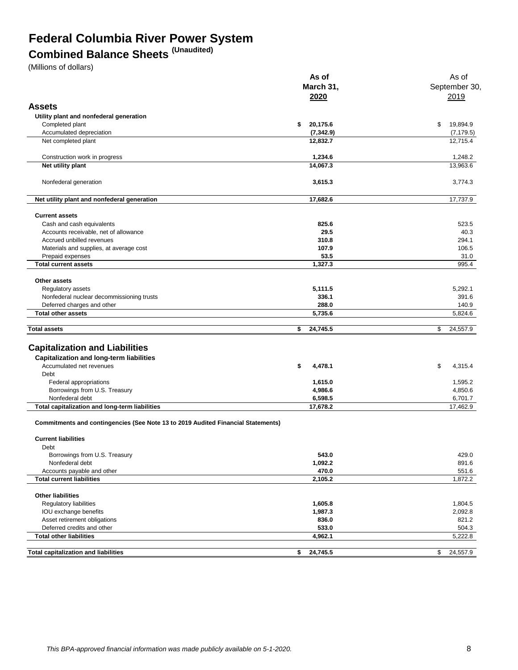## **Federal Columbia River Power System**

## **Combined Balance Sheets (Unaudited)**

(Millions of dollars)

|                                                                                         | As of          | As of                  |  |  |
|-----------------------------------------------------------------------------------------|----------------|------------------------|--|--|
|                                                                                         | March 31,      |                        |  |  |
|                                                                                         | 2020           | September 30<br>2019   |  |  |
| <b>Assets</b>                                                                           |                |                        |  |  |
|                                                                                         |                |                        |  |  |
| Utility plant and nonfederal generation                                                 |                |                        |  |  |
| Completed plant                                                                         | 20,175.6<br>\$ | \$<br>19.894.9         |  |  |
| Accumulated depreciation                                                                | (7, 342.9)     | (7, 179.5)<br>12,715.4 |  |  |
| Net completed plant                                                                     | 12,832.7       |                        |  |  |
| Construction work in progress                                                           | 1,234.6        | 1,248.2                |  |  |
| Net utility plant                                                                       | 14,067.3       | 13,963.6               |  |  |
| Nonfederal generation                                                                   | 3,615.3        | 3,774.3                |  |  |
| Net utility plant and nonfederal generation                                             | 17,682.6       | 17,737.9               |  |  |
| <b>Current assets</b>                                                                   |                |                        |  |  |
| Cash and cash equivalents                                                               | 825.6          | 523.5                  |  |  |
| Accounts receivable, net of allowance                                                   | 29.5           | 40.3                   |  |  |
| Accrued unbilled revenues                                                               | 310.8          | 294.1                  |  |  |
| Materials and supplies, at average cost                                                 | 107.9          | 106.5                  |  |  |
| Prepaid expenses                                                                        | 53.5           | 31.0                   |  |  |
| <b>Total current assets</b>                                                             | 1,327.3        | 995.4                  |  |  |
|                                                                                         |                |                        |  |  |
| Other assets                                                                            |                |                        |  |  |
| Regulatory assets                                                                       | 5,111.5        | 5,292.1                |  |  |
| Nonfederal nuclear decommissioning trusts                                               | 336.1<br>288.0 | 391.6                  |  |  |
| Deferred charges and other<br><b>Total other assets</b>                                 | 5,735.6        | 140.9<br>5,824.6       |  |  |
|                                                                                         | \$<br>24,745.5 | \$<br>24,557.9         |  |  |
| Total assets                                                                            |                |                        |  |  |
| <b>Capitalization and Liabilities</b>                                                   |                |                        |  |  |
| <b>Capitalization and long-term liabilities</b>                                         |                |                        |  |  |
| Accumulated net revenues                                                                | \$<br>4,478.1  | \$<br>4,315.4          |  |  |
| Debt                                                                                    |                |                        |  |  |
| Federal appropriations                                                                  | 1,615.0        | 1,595.2                |  |  |
| Borrowings from U.S. Treasury                                                           | 4,986.6        | 4,850.6                |  |  |
| Nonfederal debt                                                                         | 6,598.5        | 6,701.7                |  |  |
| Total capitalization and long-term liabilities                                          | 17,678.2       | 17,462.9               |  |  |
| <b>Commitments and contingencies (See Note 13 to 2019 Audited Financial Statements)</b> |                |                        |  |  |
| <b>Current liabilities</b>                                                              |                |                        |  |  |
| Debt                                                                                    |                |                        |  |  |
| Borrowings from U.S. Treasury                                                           | 543.0          | 429.0                  |  |  |
| Nonfederal debt                                                                         | 1,092.2        | 891.6                  |  |  |
| Accounts payable and other                                                              | 470.0          | 551.6                  |  |  |
| <b>Total current liabilities</b>                                                        | 2,105.2        | 1,872.2                |  |  |
|                                                                                         |                |                        |  |  |
| <b>Other liabilities</b>                                                                |                |                        |  |  |
| Regulatory liabilities                                                                  | 1,605.8        | 1,804.5                |  |  |
| IOU exchange benefits                                                                   | 1,987.3        | 2,092.8                |  |  |
| Asset retirement obligations                                                            | 836.0          | 821.2                  |  |  |
| Deferred credits and other                                                              | 533.0          | 504.3                  |  |  |
| <b>Total other liabilities</b>                                                          | 4,962.1        | 5,222.8                |  |  |
| <b>Total capitalization and liabilities</b>                                             | 24,745.5<br>\$ | \$<br>24,557.9         |  |  |
|                                                                                         |                |                        |  |  |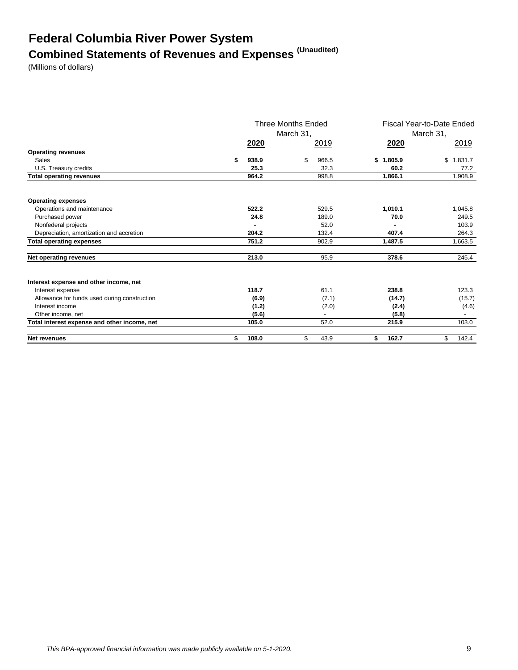# **Federal Columbia River Power System Combined Statements of Revenues and Expenses (Unaudited)**

(Millions of dollars)

|                                              | <b>Three Months Ended</b><br>March 31, |             |    | Fiscal Year-to-Date Ended<br>March 31, |               |             |
|----------------------------------------------|----------------------------------------|-------------|----|----------------------------------------|---------------|-------------|
|                                              |                                        | <b>2020</b> |    | 2019                                   | 2020          | 2019        |
| <b>Operating revenues</b>                    |                                        |             |    |                                        |               |             |
| Sales                                        | \$                                     | 938.9       | \$ | 966.5                                  | 1,805.9<br>\$ | \$1.831.7   |
| U.S. Treasury credits                        |                                        | 25.3        |    | 32.3                                   | 60.2          | 77.2        |
| <b>Total operating revenues</b>              |                                        | 964.2       |    | 998.8                                  | 1,866.1       | 1,908.9     |
|                                              |                                        |             |    |                                        |               |             |
| <b>Operating expenses</b>                    |                                        |             |    |                                        |               |             |
| Operations and maintenance                   |                                        | 522.2       |    | 529.5                                  | 1,010.1       | 1,045.8     |
| Purchased power                              |                                        | 24.8        |    | 189.0                                  | 70.0          | 249.5       |
| Nonfederal projects                          |                                        |             |    | 52.0                                   |               | 103.9       |
| Depreciation, amortization and accretion     |                                        | 204.2       |    | 132.4                                  | 407.4         | 264.3       |
| <b>Total operating expenses</b>              |                                        | 751.2       |    | 902.9                                  | 1.487.5       | 1,663.5     |
| Net operating revenues                       |                                        | 213.0       |    | 95.9                                   | 378.6         | 245.4       |
| Interest expense and other income, net       |                                        |             |    |                                        |               |             |
| Interest expense                             |                                        | 118.7       |    | 61.1                                   | 238.8         | 123.3       |
| Allowance for funds used during construction |                                        | (6.9)       |    | (7.1)                                  | (14.7)        | (15.7)      |
| Interest income                              |                                        | (1.2)       |    | (2.0)                                  | (2.4)         | (4.6)       |
| Other income, net                            |                                        | (5.6)       |    |                                        | (5.8)         |             |
| Total interest expense and other income, net |                                        | 105.0       |    | 52.0                                   | 215.9         | 103.0       |
| <b>Net revenues</b>                          | \$                                     | 108.0       | \$ | 43.9                                   | 162.7<br>\$   | \$<br>142.4 |